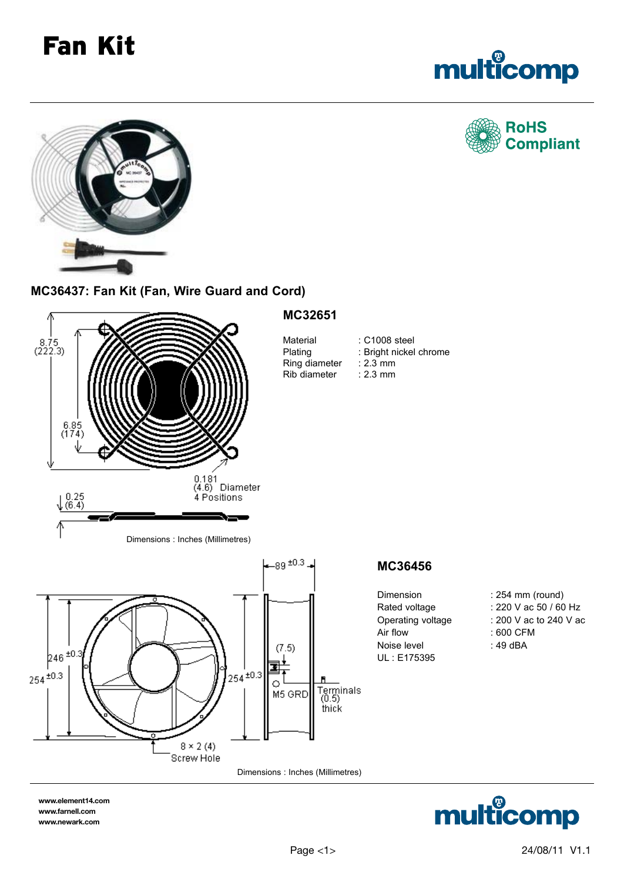## Fan Kit



**RoHS** 

**Compliant** 



**MC36437: Fan Kit (Fan, Wire Guard and Cord)**



**www.element14.com www.farnell.com www.newark.com**